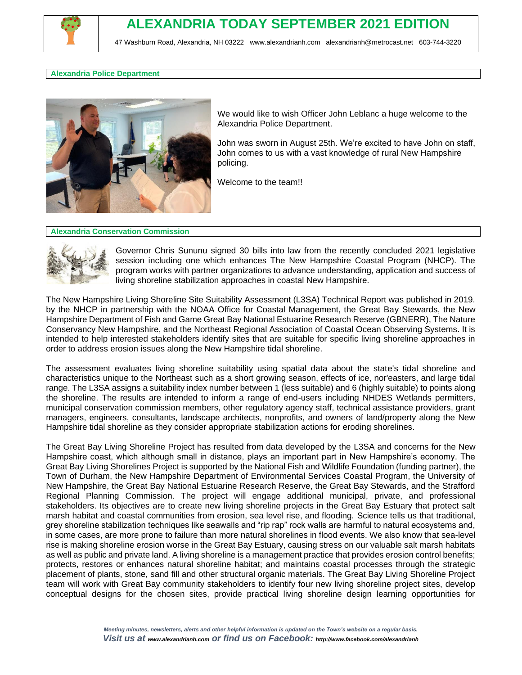

# **ALEXANDRIA TODAY SEPTEMBER 2021 EDITION**

47 Washburn Road, Alexandria, NH 03222 [www.alexandrianh.com](http://www.alexandrianh.com/) [alexandrianh@metrocast.net](mailto:alexandrianh@metrocast.net) 603-744-3220

### **Alexandria Police Department**



We would like to wish Officer John Leblanc a huge welcome to the Alexandria Police Department.

John was sworn in August 25th. We're excited to have John on staff, John comes to us with a vast knowledge of rural New Hampshire policing.

Welcome to the team!!

### **Alexandria Conservation Commission**



Governor Chris Sununu signed 30 bills into law from the recently concluded 2021 legislative session including one which enhances The New Hampshire Coastal Program (NHCP). The program works with partner organizations to advance understanding, application and success of living shoreline stabilization approaches in coastal New Hampshire.

The New Hampshire Living Shoreline Site Suitability Assessment (L3SA) Technical Report was published in 2019. by the NHCP in partnership with the NOAA Office for Coastal Management, the Great Bay Stewards, the New Hampshire Department of Fish and Game Great Bay National Estuarine Research Reserve (GBNERR), The Nature Conservancy New Hampshire, and the Northeast Regional Association of Coastal Ocean Observing Systems. It is intended to help interested stakeholders identify sites that are suitable for specific living shoreline approaches in order to address erosion issues along the New Hampshire tidal shoreline.

The assessment evaluates living shoreline suitability using spatial data about the state's tidal shoreline and characteristics unique to the Northeast such as a short growing season, effects of ice, nor'easters, and large tidal range. The L3SA assigns a suitability index number between 1 (less suitable) and 6 (highly suitable) to points along the shoreline. The results are intended to inform a range of end-users including NHDES Wetlands permitters, municipal conservation commission members, other regulatory agency staff, technical assistance providers, grant managers, engineers, consultants, landscape architects, nonprofits, and owners of land/property along the New Hampshire tidal shoreline as they consider appropriate stabilization actions for eroding shorelines.

The Great Bay Living Shoreline Project has resulted from data developed by the L3SA and concerns for the New Hampshire coast, which although small in distance, plays an important part in New Hampshire's economy. The Great Bay Living Shorelines Project is supported by the National Fish and Wildlife Foundation (funding partner), the Town of Durham, the New Hampshire Department of Environmental Services Coastal Program, the University of New Hampshire, the Great Bay National Estuarine Research Reserve, the Great Bay Stewards, and the Strafford Regional Planning Commission. The project will engage additional municipal, private, and professional stakeholders. Its objectives are to create new living shoreline projects in the Great Bay Estuary that protect salt marsh habitat and coastal communities from erosion, sea level rise, and flooding. Science tells us that traditional, grey shoreline stabilization techniques like seawalls and "rip rap" rock walls are harmful to natural ecosystems and, in some cases, are more prone to failure than more natural shorelines in flood events. We also know that sea-level rise is making shoreline erosion worse in the Great Bay Estuary, causing stress on our valuable salt marsh habitats as well as public and private land. A living shoreline is a management practice that provides erosion control benefits; protects, restores or enhances natural shoreline habitat; and maintains coastal processes through the strategic placement of plants, stone, sand fill and other structural organic materials. The Great Bay Living Shoreline Project team will work with Great Bay community stakeholders to identify four new living shoreline project sites, develop conceptual designs for the chosen sites, provide practical living shoreline design learning opportunities for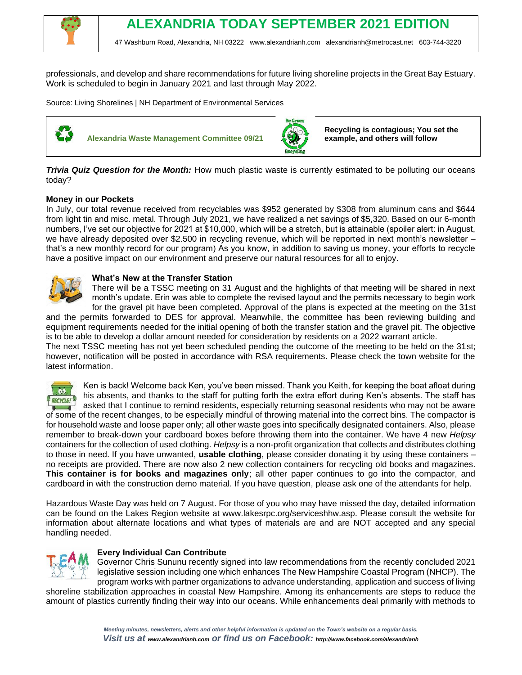

47 Washburn Road, Alexandria, NH 03222 [www.alexandrianh.com](http://www.alexandrianh.com/) [alexandrianh@metrocast.net](mailto:alexandrianh@metrocast.net) 603-744-3220

professionals, and develop and share recommendations for future living shoreline projects in the Great Bay Estuary. Work is scheduled to begin in January 2021 and last through May 2022.

Source: Living Shorelines | NH Department of Environmental Services



**Alexandria Waste Management Committee 09/21** 



**Recycling is contagious; You set the example, and others will follow**

*Trivia Quiz Question for the Month:* How much plastic waste is currently estimated to be polluting our oceans today?

## **Money in our Pockets**

In July, our total revenue received from recyclables was \$952 generated by \$308 from aluminum cans and \$644 from light tin and misc. metal. Through July 2021, we have realized a net savings of \$5,320. Based on our 6-month numbers, I've set our objective for 2021 at \$10,000, which will be a stretch, but is attainable (spoiler alert: in August, we have already deposited over \$2.500 in recycling revenue, which will be reported in next month's newsletter – that's a new monthly record for our program) As you know, in addition to saving us money, your efforts to recycle have a positive impact on our environment and preserve our natural resources for all to enjoy.



## **What's New at the Transfer Station**

There will be a TSSC meeting on 31 August and the highlights of that meeting will be shared in next month's update. Erin was able to complete the revised layout and the permits necessary to begin work for the gravel pit have been completed. Approval of the plans is expected at the meeting on the 31st

and the permits forwarded to DES for approval. Meanwhile, the committee has been reviewing building and equipment requirements needed for the initial opening of both the transfer station and the gravel pit. The objective is to be able to develop a dollar amount needed for consideration by residents on a 2022 warrant article.

The next TSSC meeting has not yet been scheduled pending the outcome of the meeting to be held on the 31st; however, notification will be posted in accordance with RSA requirements. Please check the town website for the latest information.



Ken is back! Welcome back Ken, you've been missed. Thank you Keith, for keeping the boat afloat during his absents, and thanks to the staff for putting forth the extra effort during Ken's absents. The staff has asked that I continue to remind residents, especially returning seasonal residents who may not be aware of some of the recent changes, to be especially mindful of throwing material into the correct bins. The compactor is for household waste and loose paper only; all other waste goes into specifically designated containers. Also, please remember to break-down your cardboard boxes before throwing them into the container. We have 4 new *Helpsy*  containers for the collection of used clothing. *Helpsy* is a non-profit organization that collects and distributes clothing to those in need. If you have unwanted, **usable clothing**, please consider donating it by using these containers – no receipts are provided. There are now also 2 new collection containers for recycling old books and magazines. **This container is for books and magazines only**; all other paper continues to go into the compactor, and cardboard in with the construction demo material. If you have question, please ask one of the attendants for help.

Hazardous Waste Day was held on 7 August. For those of you who may have missed the day, detailed information can be found on the Lakes Region website at www.lakesrpc.org/serviceshhw.asp. Please consult the website for information about alternate locations and what types of materials are and are NOT accepted and any special handling needed.



## **Every Individual Can Contribute**

Governor Chris Sununu recently signed into law recommendations from the recently concluded 2021 legislative session including one which enhances The New Hampshire Coastal Program (NHCP). The program works with partner organizations to advance understanding, application and success of living

shoreline stabilization approaches in coastal New Hampshire. Among its enhancements are steps to reduce the amount of plastics currently finding their way into our oceans. While enhancements deal primarily with methods to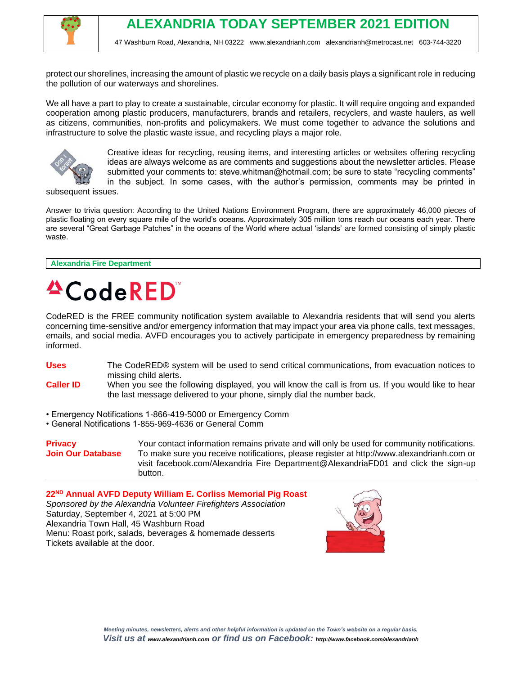

protect our shorelines, increasing the amount of plastic we recycle on a daily basis plays a significant role in reducing the pollution of our waterways and shorelines.

We all have a part to play to create a sustainable, circular economy for plastic. It will require ongoing and expanded cooperation among plastic producers, manufacturers, brands and retailers, recyclers, and waste haulers, as well as citizens, communities, non-profits and policymakers. We must come together to advance the solutions and infrastructure to solve the plastic waste issue, and recycling plays a major role.



Creative ideas for recycling, reusing items, and interesting articles or websites offering recycling ideas are always welcome as are comments and suggestions about the newsletter articles. Please submitted your comments to: steve.whitman@hotmail.com; be sure to state "recycling comments" in the subject. In some cases, with the author's permission, comments may be printed in

subsequent issues.

Answer to trivia question: According to the United Nations Environment Program, there are approximately 46,000 pieces of plastic floating on every square mile of the world's oceans. Approximately 305 million tons reach our oceans each year. There are several "Great Garbage Patches" in the oceans of the World where actual 'islands' are formed consisting of simply plastic waste.

**Alexandria Fire Department**

# **<sup>△</sup>CodeRED**

CodeRED is the FREE community notification system available to Alexandria residents that will send you alerts concerning time-sensitive and/or emergency information that may impact your area via phone calls, text messages, emails, and social media. AVFD encourages you to actively participate in emergency preparedness by remaining informed.

**Uses** The CodeRED® system will be used to send critical communications, from evacuation notices to missing child alerts.

- **Caller ID** When you see the following displayed, you will know the call is from us. If you would like to hear the last message delivered to your phone, simply dial the number back.
- Emergency Notifications 1-866-419-5000 or Emergency Comm
- General Notifications 1-855-969-4636 or General Comm

**Privacy** Your contact information remains private and will only be used for community notifications. **Join Our Database** To make sure you receive notifications, please register at http://www.alexandrianh.com or visit facebook.com/Alexandria Fire Department@AlexandriaFD01 and click the sign-up button.

**22ND Annual AVFD Deputy William E. Corliss Memorial Pig Roast** *Sponsored by the Alexandria Volunteer Firefighters Association* Saturday, September 4, 2021 at 5:00 PM Alexandria Town Hall, 45 Washburn Road Menu: Roast pork, salads, beverages & homemade desserts Tickets available at the door.

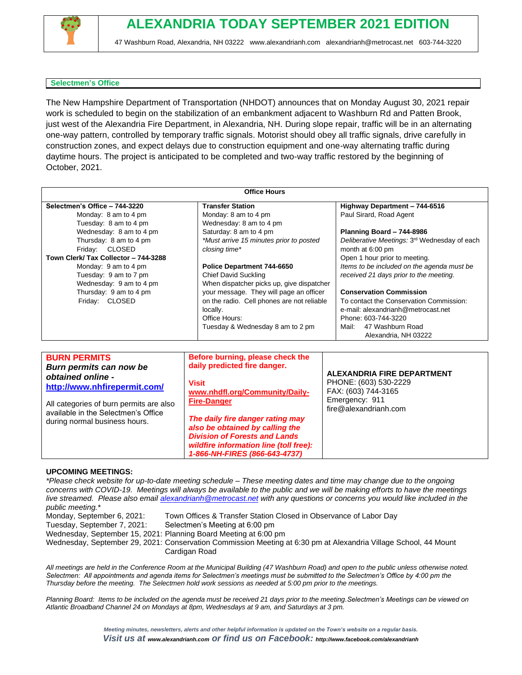

# **ALEXANDRIA TODAY SEPTEMBER 2021 EDITION**

47 Washburn Road, Alexandria, NH 03222 [www.alexandrianh.com](http://www.alexandrianh.com/) [alexandrianh@metrocast.net](mailto:alexandrianh@metrocast.net) 603-744-3220

### **Selectmen's Office**

The New Hampshire Department of Transportation (NHDOT) announces that on Monday August 30, 2021 repair work is scheduled to begin on the stabilization of an embankment adjacent to Washburn Rd and Patten Brook, just west of the Alexandria Fire Department, in Alexandria, NH. During slope repair, traffic will be in an alternating one-way pattern, controlled by temporary traffic signals. Motorist should obey all traffic signals, drive carefully in construction zones, and expect delays due to construction equipment and one-way alternating traffic during daytime hours. The project is anticipated to be completed and two-way traffic restored by the beginning of October, 2021.

| <b>Office Hours</b>                                                                                                                                                                                                    |                                                                                                                                                                                                                                                                                                                                    |                                                                                                                                                                                             |
|------------------------------------------------------------------------------------------------------------------------------------------------------------------------------------------------------------------------|------------------------------------------------------------------------------------------------------------------------------------------------------------------------------------------------------------------------------------------------------------------------------------------------------------------------------------|---------------------------------------------------------------------------------------------------------------------------------------------------------------------------------------------|
| Selectmen's Office - 744-3220<br>Monday: 8 am to 4 pm<br>Tuesday: 8 am to 4 pm<br>Wednesday: 8 am to 4 pm                                                                                                              | <b>Transfer Station</b><br>Monday: 8 am to 4 pm<br>Wednesday: 8 am to 4 pm<br>Saturday: 8 am to 4 pm                                                                                                                                                                                                                               | Highway Department - 744-6516<br>Paul Sirard, Road Agent<br>Planning Board - 744-8986                                                                                                       |
| Thursday: 8 am to 4 pm<br>Friday: CLOSED<br>Town Clerk/ Tax Collector - 744-3288<br>Monday: 9 am to 4 pm<br>Tuesday: 9 am to 7 pm                                                                                      | *Must arrive 15 minutes prior to posted<br>closing time*<br>Police Department 744-6650<br><b>Chief David Suckling</b>                                                                                                                                                                                                              | Deliberative Meetings: 3rd Wednesday of each<br>month at 6:00 pm<br>Open 1 hour prior to meeting.<br>Items to be included on the agenda must be<br>received 21 days prior to the meeting.   |
| Wednesday: 9 am to 4 pm<br>Thursday: 9 am to 4 pm<br>Friday: CLOSED                                                                                                                                                    | When dispatcher picks up, give dispatcher<br>your message. They will page an officer<br>on the radio. Cell phones are not reliable<br>locally.<br>Office Hours:<br>Tuesday & Wednesday 8 am to 2 pm                                                                                                                                | <b>Conservation Commission</b><br>To contact the Conservation Commission:<br>e-mail: alexandrianh@metrocast.net<br>Phone: 603-744-3220<br>47 Washburn Road<br>Mail:<br>Alexandria, NH 03222 |
| <b>BURN PERMITS</b><br>Burn permits can now be<br>obtained online -<br>http://www.nhfirepermit.com/<br>All categories of burn permits are also<br>available in the Selectmen's Office<br>during normal business hours. | Before burning, please check the<br>daily predicted fire danger.<br><b>Visit</b><br>www.nhdfl.org/Community/Daily-<br><b>Fire-Danger</b><br>The daily fire danger rating may<br>also be obtained by calling the<br><b>Division of Forests and Lands</b><br>wildfire information line (toll free):<br>1-866-NH-FIRES (866-643-4737) | <b>ALEXANDRIA FIRE DEPARTMENT</b><br>PHONE: (603) 530-2229<br>FAX: (603) 744-3165<br>Emergency: 911<br>fire@alexandrianh.com                                                                |

#### **UPCOMING MEETINGS:**

*\*Please check website for up-to-date meeting schedule – These meeting dates and time may change due to the ongoing concerns with COVID-19. Meetings will always be available to the public and we will be making efforts to have the meetings live streamed. Please also email [alexandrianh@metrocast.net](mailto:alexandrianh@metrocast.net) with any questions or concerns you would like included in the public meeting.\** Monday, September 6, 2021: Town Offices & Transfer Station Closed in Observance of Labor Day Tuesday, September 7, 2021: Selectmen's Meeting at 6:00 pm Wednesday, September 15, 2021: Planning Board Meeting at 6:00 pm Wednesday, September 29, 2021: Conservation Commission Meeting at 6:30 pm at Alexandria Village School, 44 Mount Cardigan Road

*All meetings are held in the Conference Room at the Municipal Building (47 Washburn Road) and open to the public unless otherwise noted. Selectmen: All appointments and agenda items for Selectmen's meetings must be submitted to the Selectmen's Office by 4:00 pm the Thursday before the meeting. The Selectmen hold work sessions as needed at 5:00 pm prior to the meetings.*

*Planning Board: Items to be included on the agenda must be received 21 days prior to the meeting.Selectmen's Meetings can be viewed on Atlantic Broadband Channel 24 on Mondays at 8pm, Wednesdays at 9 am, and Saturdays at 3 pm.*